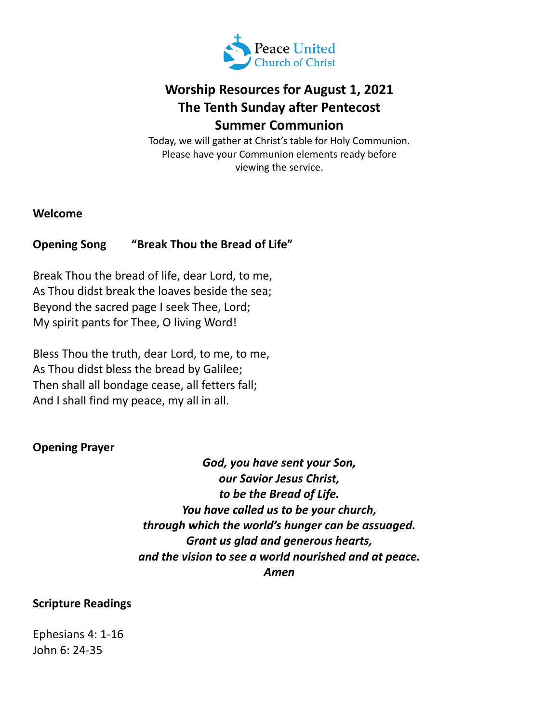

# **Worship Resources for August 1, 2021 The Tenth Sunday after Pentecost Summer Communion**

Today, we will gather at Christ's table for Holy Communion. Please have your Communion elements ready before viewing the service.

**Welcome**

# **Opening Song "Break Thou the Bread of Life"**

Break Thou the bread of life, dear Lord, to me, As Thou didst break the loaves beside the sea; Beyond the sacred page I seek Thee, Lord; My spirit pants for Thee, O living Word!

Bless Thou the truth, dear Lord, to me, to me, As Thou didst bless the bread by Galilee; Then shall all bondage cease, all fetters fall; And I shall find my peace, my all in all.

# **Opening Prayer**

*God, you have sent your Son, our Savior Jesus Christ, to be the Bread of Life. You have called us to be your church, through which the world's hunger can be assuaged. Grant us glad and generous hearts, and the vision to see a world nourished and at peace. Amen*

#### **Scripture Readings**

Ephesians 4: 1-16 John 6: 24-35